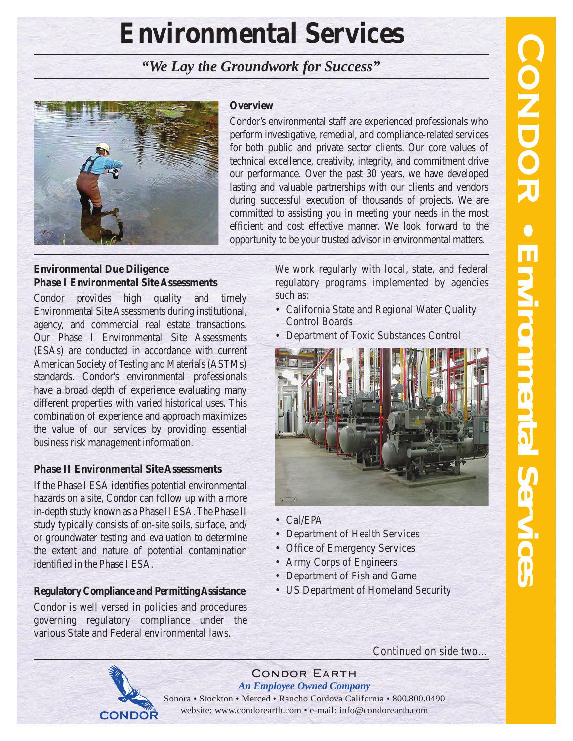# **Environmental Services**

*"We Lay the Groundwork for Success"*



#### **Overview**

Condor's environmental staff are experienced professionals who perform investigative, remedial, and compliance-related services for both public and private sector clients. Our core values of technical excellence, creativity, integrity, and commitment drive our performance. Over the past 30 years, we have developed lasting and valuable partnerships with our clients and vendors during successful execution of thousands of projects. We are committed to assisting you in meeting your needs in the most efficient and cost effective manner. We look forward to the opportunity to be your trusted advisor in environmental matters.

# **Environmental Due Diligence Phase I Environmental Site Assessments**

Condor provides high quality and timely Environmental Site Assessments during institutional, agency, and commercial real estate transactions. Our Phase I Environmental Site Assessments (ESAs) are conducted in accordance with current American Society of Testing and Materials (ASTMs) standards. Condor's environmental professionals have a broad depth of experience evaluating many different properties with varied historical uses. This combination of experience and approach maximizes the value of our services by providing essential business risk management information.

#### **Phase II Environmental Site Assessments**

If the Phase I ESA identifies potential environmental hazards on a site, Condor can follow up with a more in-depth study known as a Phase II ESA. The Phase II study typically consists of on-site soils, surface, and/ or groundwater testing and evaluation to determine the extent and nature of potential contamination identified in the Phase I ESA.

# **Regulatory Compliance and Permitting Assistance**

Condor is well versed in policies and procedures governing regulatory compliance under the various State and Federal environmental laws.

We work regularly with local, state, and federal regulatory programs implemented by agencies such as:

- California State and Regional Water Quality Control Boards
- Department of Toxic Substances Control



- Cal/EPA
- Department of Health Services
- Office of Emergency Services
- Army Corps of Engineers
- Department of Fish and Game
- US Department of Homeland Security

*Continued on side two…*



Condor Earth *An Employee Owned Company* Sonora • Stockton • Merced • Rancho Cordova California • 800.800.0490

website: www.condorearth.com • e-mail: info@condorearth.com